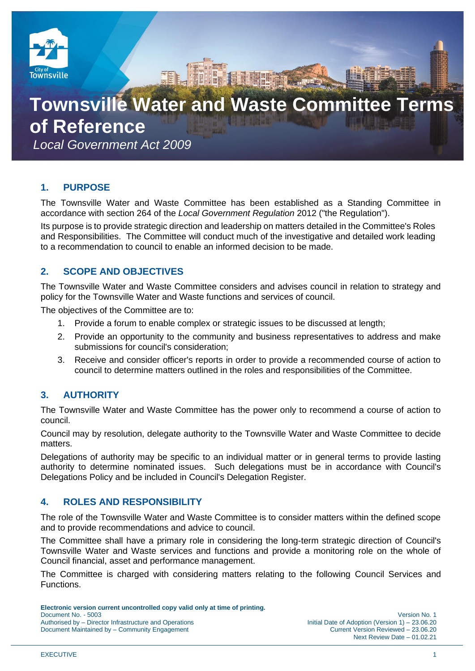

# **Townsville Water and Waste Committee Terms**

**of Reference**

*Local Government Act 2009*

# **1. PURPOSE**

The Townsville Water and Waste Committee has been established as a Standing Committee in accordance with section 264 of the *Local Government Regulation* 2012 ("the Regulation").

Its purpose is to provide strategic direction and leadership on matters detailed in the Committee's Roles and Responsibilities. The Committee will conduct much of the investigative and detailed work leading to a recommendation to council to enable an informed decision to be made.

# **2. SCOPE AND OBJECTIVES**

The Townsville Water and Waste Committee considers and advises council in relation to strategy and policy for the Townsville Water and Waste functions and services of council.

The objectives of the Committee are to:

- 1. Provide a forum to enable complex or strategic issues to be discussed at length;
- 2. Provide an opportunity to the community and business representatives to address and make submissions for council's consideration;
- 3. Receive and consider officer's reports in order to provide a recommended course of action to council to determine matters outlined in the roles and responsibilities of the Committee.

# **3. AUTHORITY**

The Townsville Water and Waste Committee has the power only to recommend a course of action to council.

Council may by resolution, delegate authority to the Townsville Water and Waste Committee to decide matters.

Delegations of authority may be specific to an individual matter or in general terms to provide lasting authority to determine nominated issues. Such delegations must be in accordance with Council's Delegations Policy and be included in Council's Delegation Register.

# **4. ROLES AND RESPONSIBILITY**

The role of the Townsville Water and Waste Committee is to consider matters within the defined scope and to provide recommendations and advice to council.

The Committee shall have a primary role in considering the long-term strategic direction of Council's Townsville Water and Waste services and functions and provide a monitoring role on the whole of Council financial, asset and performance management.

The Committee is charged with considering matters relating to the following Council Services and Functions.

**Electronic version current uncontrolled copy valid only at time of printing.**  Document No. - 5003 Version No. 1 Authorised by – Director Infrastructure and Operations Document Maintained by – Community Engagement Current Version Reviewed – 23.06.20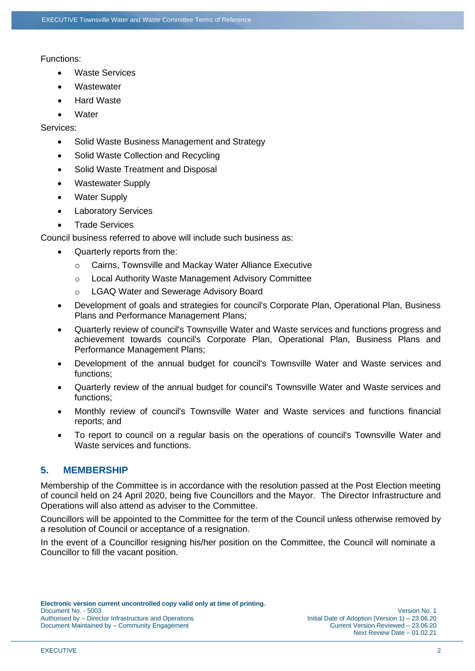#### Functions:

- **Waste Services**
- Wastewater
- **Hard Waste**
- **Water**

#### Services:

- Solid Waste Business Management and Strategy
- Solid Waste Collection and Recycling
- Solid Waste Treatment and Disposal
- Wastewater Supply
- Water Supply
- Laboratory Services
- Trade Services

Council business referred to above will include such business as:

- Quarterly reports from the:
	- o Cairns, Townsville and Mackay Water Alliance Executive
	- o Local Authority Waste Management Advisory Committee
	- o LGAQ Water and Sewerage Advisory Board
- Development of goals and strategies for council's Corporate Plan, Operational Plan, Business Plans and Performance Management Plans;
- Quarterly review of council's Townsville Water and Waste services and functions progress and achievement towards council's Corporate Plan, Operational Plan, Business Plans and Performance Management Plans;
- Development of the annual budget for council's Townsville Water and Waste services and functions;
- Quarterly review of the annual budget for council's Townsville Water and Waste services and functions;
- Monthly review of council's Townsville Water and Waste services and functions financial reports; and
- To report to council on a regular basis on the operations of council's Townsville Water and Waste services and functions.

# **5. MEMBERSHIP**

Membership of the Committee is in accordance with the resolution passed at the Post Election meeting of council held on 24 April 2020, being five Councillors and the Mayor. The Director Infrastructure and Operations will also attend as adviser to the Committee.

Councillors will be appointed to the Committee for the term of the Council unless otherwise removed by a resolution of Council or acceptance of a resignation.

In the event of a Councillor resigning his/her position on the Committee, the Council will nominate a Councillor to fill the vacant position.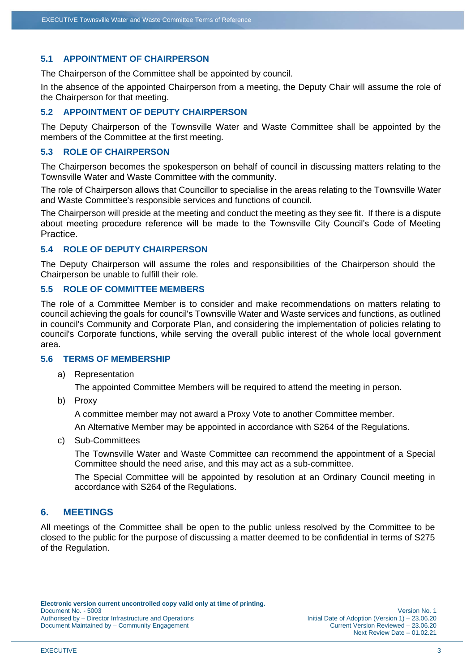## **5.1 APPOINTMENT OF CHAIRPERSON**

The Chairperson of the Committee shall be appointed by council.

In the absence of the appointed Chairperson from a meeting, the Deputy Chair will assume the role of the Chairperson for that meeting.

#### **5.2 APPOINTMENT OF DEPUTY CHAIRPERSON**

The Deputy Chairperson of the Townsville Water and Waste Committee shall be appointed by the members of the Committee at the first meeting.

#### **5.3 ROLE OF CHAIRPERSON**

The Chairperson becomes the spokesperson on behalf of council in discussing matters relating to the Townsville Water and Waste Committee with the community.

The role of Chairperson allows that Councillor to specialise in the areas relating to the Townsville Water and Waste Committee's responsible services and functions of council.

The Chairperson will preside at the meeting and conduct the meeting as they see fit. If there is a dispute about meeting procedure reference will be made to the Townsville City Council's Code of Meeting Practice.

#### **5.4 ROLE OF DEPUTY CHAIRPERSON**

The Deputy Chairperson will assume the roles and responsibilities of the Chairperson should the Chairperson be unable to fulfill their role.

#### **5.5 ROLE OF COMMITTEE MEMBERS**

The role of a Committee Member is to consider and make recommendations on matters relating to council achieving the goals for council's Townsville Water and Waste services and functions, as outlined in council's Community and Corporate Plan, and considering the implementation of policies relating to council's Corporate functions, while serving the overall public interest of the whole local government area.

#### **5.6 TERMS OF MEMBERSHIP**

a) Representation

The appointed Committee Members will be required to attend the meeting in person.

b) Proxy

A committee member may not award a Proxy Vote to another Committee member.

An Alternative Member may be appointed in accordance with S264 of the Regulations.

c) Sub-Committees

The Townsville Water and Waste Committee can recommend the appointment of a Special Committee should the need arise, and this may act as a sub-committee.

The Special Committee will be appointed by resolution at an Ordinary Council meeting in accordance with S264 of the Regulations.

## **6. MEETINGS**

All meetings of the Committee shall be open to the public unless resolved by the Committee to be closed to the public for the purpose of discussing a matter deemed to be confidential in terms of S275 of the Regulation.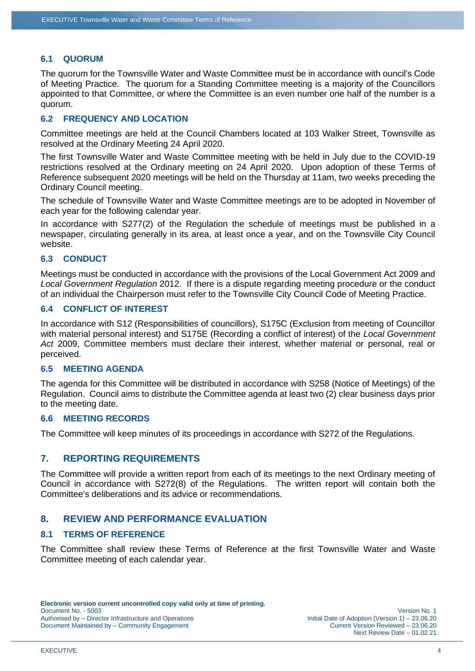#### **6.1 QUORUM**

The quorum for the Townsville Water and Waste Committee must be in accordance with ouncil's Code of Meeting Practice. The quorum for a Standing Committee meeting is a majority of the Councillors appointed to that Committee, or where the Committee is an even number one half of the number is a quorum.

## **6.2 FREQUENCY AND LOCATION**

Committee meetings are held at the Council Chambers located at 103 Walker Street, Townsville as resolved at the Ordinary Meeting 24 April 2020.

The first Townsville Water and Waste Committee meeting with be held in July due to the COVID-19 restrictions resolved at the Ordinary meeting on 24 April 2020. Upon adoption of these Terms of Reference subsequent 2020 meetings will be held on the Thursday at 11am, two weeks preceding the Ordinary Council meeting.

The schedule of Townsville Water and Waste Committee meetings are to be adopted in November of each year for the following calendar year.

In accordance with S277(2) of the Regulation the schedule of meetings must be published in a newspaper, circulating generally in its area, at least once a year, and on the Townsville City Council website.

## **6.3 CONDUCT**

Meetings must be conducted in accordance with the provisions of the Local Government Act 2009 and *Local Government Regulation* 2012. If there is a dispute regarding meeting procedure or the conduct of an individual the Chairperson must refer to the Townsville City Council Code of Meeting Practice.

#### **6.4 CONFLICT OF INTEREST**

In accordance with S12 (Responsibilities of councillors), S175C (Exclusion from meeting of Councillor with material personal interest) and S175E (Recording a conflict of interest) of the *Local Government Act* 2009, Committee members must declare their interest, whether material or personal, real or perceived.

#### **6.5 MEETING AGENDA**

The agenda for this Committee will be distributed in accordance with S258 (Notice of Meetings) of the Regulation. Council aims to distribute the Committee agenda at least two (2) clear business days prior to the meeting date.

#### **6.6 MEETING RECORDS**

The Committee will keep minutes of its proceedings in accordance with S272 of the Regulations.

## **7. REPORTING REQUIREMENTS**

The Committee will provide a written report from each of its meetings to the next Ordinary meeting of Council in accordance with S272(8) of the Regulations. The written report will contain both the Committee's deliberations and its advice or recommendations.

## **8. REVIEW AND PERFORMANCE EVALUATION**

## **8.1 TERMS OF REFERENCE**

The Committee shall review these Terms of Reference at the first Townsville Water and Waste Committee meeting of each calendar year.